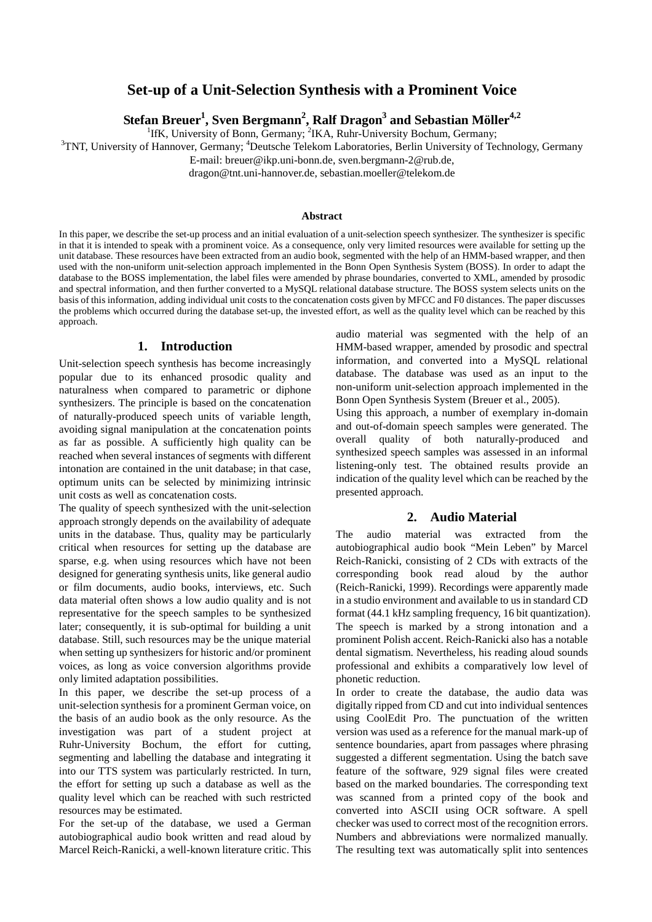# **Set-up of a Unit-Selection Synthesis with a Prominent Voice**

 ${\bf Stefan}$   ${\bf Breuer}^1,$   ${\bf Sven}$   ${\bf Bergmann}^2,$   ${\bf Ralf}$   ${\bf Dragon}^3$  and  ${\bf Sebastian}$   ${\bf Möller}^{4,2}$ 

<sup>1</sup> IfK, University of Bonn, Germany; <sup>2</sup>IKA, Ruhr-University Bochum, Germany;<sup>3</sup>TNT, University of Hennougr, Germany;<sup>4</sup>Deutsche Telekom Lebesteries, Berlin University of Technology

TNT, University of Hannover, Germany; <sup>4</sup>Deutsche Telekom Laboratories, Berlin University of Technology, Germany

E-mail: breuer@ikp.uni-bonn.de, sven.bergmann-2@rub.de,

dragon@tnt.uni-hannover.de, sebastian.moeller@telekom.de

#### **Abstract**

In this paper, we describe the set-up process and an initial evaluation of a unit-selection speech synthesizer. The synthesizer is specific in that it is intended to speak with a prominent voice. As a consequence, only very limited resources were available for setting up the unit database. These resources have been extracted from an audio book, segmented with the help of an HMM-based wrapper, and then used with the non-uniform unit-selection approach implemented in the Bonn Open Synthesis System (BOSS). In order to adapt the database to the BOSS implementation, the label files were amended by phrase boundaries, converted to XML, amended by prosodic and spectral information, and then further converted to a MySQL relational database structure. The BOSS system selects units on the basis of this information, adding individual unit costs to the concatenation costs given by MFCC and F0 distances. The paper discusses the problems which occurred during the database set-up, the invested effort, as well as the quality level which can be reached by this approach.

#### **1. Introduction**

Unit-selection speech synthesis has become increasingly popular due to its enhanced prosodic quality and naturalness when compared to parametric or diphone synthesizers. The principle is based on the concatenation of naturally-produced speech units of variable length, avoiding signal manipulation at the concatenation points as far as possible. A sufficiently high quality can be reached when several instances of segments with different intonation are contained in the unit database; in that case, optimum units can be selected by minimizing intrinsic unit costs as well as concatenation costs.

The quality of speech synthesized with the unit-selection approach strongly depends on the availability of adequate units in the database. Thus, quality may be particularly critical when resources for setting up the database are sparse, e.g. when using resources which have not been designed for generating synthesis units, like general audio or film documents, audio books, interviews, etc. Such data material often shows a low audio quality and is not representative for the speech samples to be synthesized later; consequently, it is sub-optimal for building a unit database. Still, such resources may be the unique material when setting up synthesizers for historic and/or prominent voices, as long as voice conversion algorithms provide only limited adaptation possibilities.

In this paper, we describe the set-up process of a unit-selection synthesis for a prominent German voice, on the basis of an audio book as the only resource. As the investigation was part of a student project at Ruhr-University Bochum, the effort for cutting, segmenting and labelling the database and integrating it into our TTS system was particularly restricted. In turn, the effort for setting up such a database as well as the quality level which can be reached with such restricted resources may be estimated.

For the set-up of the database, we used a German autobiographical audio book written and read aloud by Marcel Reich-Ranicki, a well-known literature critic. This audio material was segmented with the help of an HMM-based wrapper, amended by prosodic and spectral information, and converted into a MySQL relational database. The database was used as an input to the non-uniform unit-selection approach implemented in the Bonn Open Synthesis System (Breuer et al., 2005).

Using this approach, a number of exemplary in-domain and out-of-domain speech samples were generated. The overall quality of both naturally-produced and synthesized speech samples was assessed in an informal listening-only test. The obtained results provide an indication of the quality level which can be reached by the presented approach.

# **2. Audio Material**

The audio material was extracted from the autobiographical audio book "Mein Leben" by Marcel Reich-Ranicki, consisting of 2 CDs with extracts of the corresponding book read aloud by the author (Reich-Ranicki, 1999). Recordings were apparently made in a studio environment and available to us in standard CD format (44.1 kHz sampling frequency, 16 bit quantization). The speech is marked by a strong intonation and a prominent Polish accent. Reich-Ranicki also has a notable dental sigmatism. Nevertheless, his reading aloud sounds professional and exhibits a comparatively low level of phonetic reduction.

In order to create the database, the audio data was digitally ripped from CD and cut into individual sentences using CoolEdit Pro. The punctuation of the written version was used as a reference for the manual mark-up of sentence boundaries, apart from passages where phrasing suggested a different segmentation. Using the batch save feature of the software, 929 signal files were created based on the marked boundaries. The corresponding text was scanned from a printed copy of the book and converted into ASCII using OCR software. A spell checker was used to correct most of the recognition errors. Numbers and abbreviations were normalized manually. The resulting text was automatically split into sentences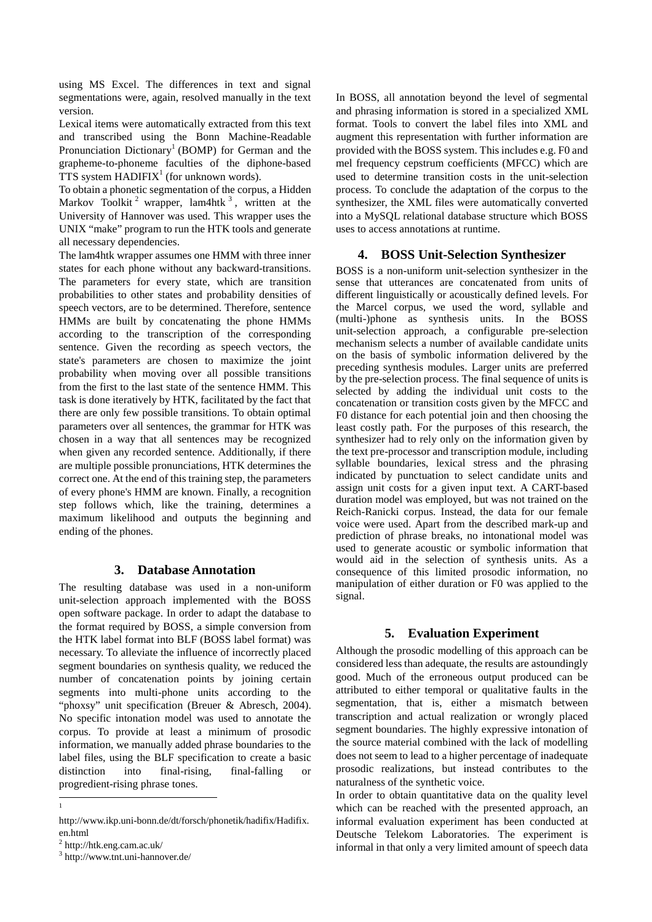using MS Excel. The differences in text and signal segmentations were, again, resolved manually in the text version.

Lexical items were automatically extracted from this text and transcribed using the Bonn Machine-Readable Pronunciation Dictionary<sup>1</sup> (BOMP) for German and the grapheme-to-phoneme faculties of the diphone-based TTS system  $HADIFIX<sup>1</sup>$  (for unknown words).

To obtain a phonetic segmentation of the corpus, a Hidden Markov Toolkit<sup>2</sup> wrapper, lam4htk<sup>3</sup>, written at the University of Hannover was used. This wrapper uses the UNIX "make" program to run the HTK tools and generate all necessary dependencies.

The lam4htk wrapper assumes one HMM with three inner states for each phone without any backward-transitions. The parameters for every state, which are transition probabilities to other states and probability densities of speech vectors, are to be determined. Therefore, sentence HMMs are built by concatenating the phone HMMs according to the transcription of the corresponding sentence. Given the recording as speech vectors, the state's parameters are chosen to maximize the joint probability when moving over all possible transitions from the first to the last state of the sentence HMM. This task is done iteratively by HTK, facilitated by the fact that there are only few possible transitions. To obtain optimal parameters over all sentences, the grammar for HTK was chosen in a way that all sentences may be recognized when given any recorded sentence. Additionally, if there are multiple possible pronunciations, HTK determines the correct one. At the end of this training step, the parameters of every phone's HMM are known. Finally, a recognition step follows which, like the training, determines a maximum likelihood and outputs the beginning and ending of the phones.

## **3. Database Annotation**

The resulting database was used in a non-uniform unit-selection approach implemented with the BOSS open software package. In order to adapt the database to the format required by BOSS, a simple conversion from the HTK label format into BLF (BOSS label format) was necessary. To alleviate the influence of incorrectly placed segment boundaries on synthesis quality, we reduced the number of concatenation points by joining certain segments into multi-phone units according to the "phoxsy" unit specification (Breuer & Abresch, 2004). No specific intonation model was used to annotate the corpus. To provide at least a minimum of prosodic information, we manually added phrase boundaries to the label files, using the BLF specification to create a basic distinction into final-rising, final-falling or progredient-rising phrase tones.

-1 In BOSS, all annotation beyond the level of segmental and phrasing information is stored in a specialized XML format. Tools to convert the label files into XML and augment this representation with further information are provided with the BOSS system. This includes e.g. F0 and mel frequency cepstrum coefficients (MFCC) which are used to determine transition costs in the unit-selection process. To conclude the adaptation of the corpus to the synthesizer, the XML files were automatically converted into a MySQL relational database structure which BOSS uses to access annotations at runtime.

### **4. BOSS Unit-Selection Synthesizer**

BOSS is a non-uniform unit-selection synthesizer in the sense that utterances are concatenated from units of different linguistically or acoustically defined levels. For the Marcel corpus, we used the word, syllable and (multi-)phone as synthesis units. In the BOSS unit-selection approach, a configurable pre-selection mechanism selects a number of available candidate units on the basis of symbolic information delivered by the preceding synthesis modules. Larger units are preferred by the pre-selection process. The final sequence of units is selected by adding the individual unit costs to the concatenation or transition costs given by the MFCC and F0 distance for each potential join and then choosing the least costly path. For the purposes of this research, the synthesizer had to rely only on the information given by the text pre-processor and transcription module, including syllable boundaries, lexical stress and the phrasing indicated by punctuation to select candidate units and assign unit costs for a given input text. A CART-based duration model was employed, but was not trained on the Reich-Ranicki corpus. Instead, the data for our female voice were used. Apart from the described mark-up and prediction of phrase breaks, no intonational model was used to generate acoustic or symbolic information that would aid in the selection of synthesis units. As a consequence of this limited prosodic information, no manipulation of either duration or F0 was applied to the signal.

## **5. Evaluation Experiment**

Although the prosodic modelling of this approach can be considered less than adequate, the results are astoundingly good. Much of the erroneous output produced can be attributed to either temporal or qualitative faults in the segmentation, that is, either a mismatch between transcription and actual realization or wrongly placed segment boundaries. The highly expressive intonation of the source material combined with the lack of modelling does not seem to lead to a higher percentage of inadequate prosodic realizations, but instead contributes to the naturalness of the synthetic voice.

In order to obtain quantitative data on the quality level which can be reached with the presented approach, an informal evaluation experiment has been conducted at Deutsche Telekom Laboratories. The experiment is informal in that only a very limited amount of speech data

http://www.ikp.uni-bonn.de/dt/forsch/phonetik/hadifix/Hadifix. en.html

<sup>2</sup> http://htk.eng.cam.ac.uk/

<sup>3</sup> http://www.tnt.uni-hannover.de/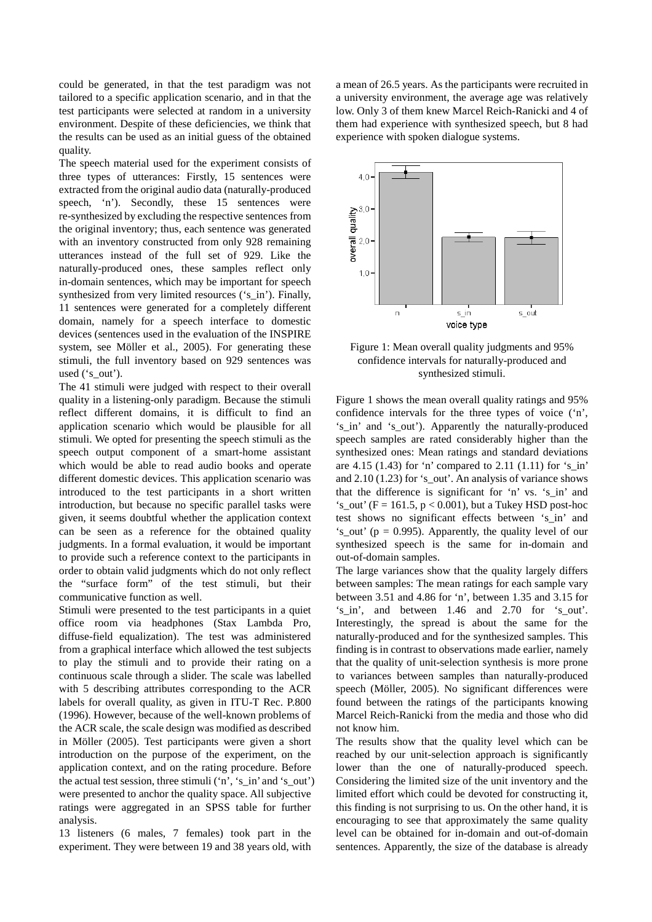could be generated, in that the test paradigm was not tailored to a specific application scenario, and in that the test participants were selected at random in a university environment. Despite of these deficiencies, we think that the results can be used as an initial guess of the obtained quality.

The speech material used for the experiment consists of three types of utterances: Firstly, 15 sentences were extracted from the original audio data (naturally-produced speech, 'n'). Secondly, these 15 sentences were re-synthesized by excluding the respective sentences from the original inventory; thus, each sentence was generated with an inventory constructed from only 928 remaining utterances instead of the full set of 929. Like the naturally-produced ones, these samples reflect only in-domain sentences, which may be important for speech synthesized from very limited resources ('s in'). Finally, 11 sentences were generated for a completely different domain, namely for a speech interface to domestic devices (sentences used in the evaluation of the INSPIRE system, see Möller et al., 2005). For generating these stimuli, the full inventory based on 929 sentences was used ('s\_out').

The 41 stimuli were judged with respect to their overall quality in a listening-only paradigm. Because the stimuli reflect different domains, it is difficult to find an application scenario which would be plausible for all stimuli. We opted for presenting the speech stimuli as the speech output component of a smart-home assistant which would be able to read audio books and operate different domestic devices. This application scenario was introduced to the test participants in a short written introduction, but because no specific parallel tasks were given, it seems doubtful whether the application context can be seen as a reference for the obtained quality judgments. In a formal evaluation, it would be important to provide such a reference context to the participants in order to obtain valid judgments which do not only reflect the "surface form" of the test stimuli, but their communicative function as well.

Stimuli were presented to the test participants in a quiet office room via headphones (Stax Lambda Pro, diffuse-field equalization). The test was administered from a graphical interface which allowed the test subjects to play the stimuli and to provide their rating on a continuous scale through a slider. The scale was labelled with 5 describing attributes corresponding to the ACR labels for overall quality, as given in ITU-T Rec. P.800 (1996). However, because of the well-known problems of the ACR scale, the scale design was modified as described in Möller (2005). Test participants were given a short introduction on the purpose of the experiment, on the application context, and on the rating procedure. Before the actual test session, three stimuli ('n', 's\_in' and 's\_out') were presented to anchor the quality space. All subjective ratings were aggregated in an SPSS table for further analysis.

13 listeners (6 males, 7 females) took part in the experiment. They were between 19 and 38 years old, with a mean of 26.5 years. As the participants were recruited in a university environment, the average age was relatively low. Only 3 of them knew Marcel Reich-Ranicki and 4 of them had experience with synthesized speech, but 8 had experience with spoken dialogue systems.



Figure 1: Mean overall quality judgments and 95% confidence intervals for naturally-produced and synthesized stimuli.

Figure 1 shows the mean overall quality ratings and 95% confidence intervals for the three types of voice ('n', 's\_in' and 's\_out'). Apparently the naturally-produced speech samples are rated considerably higher than the synthesized ones: Mean ratings and standard deviations are 4.15 (1.43) for 'n' compared to 2.11 (1.11) for 's in' and  $2.10$  (1.23) for 's out'. An analysis of variance shows that the difference is significant for 'n' vs. 's\_in' and 's\_out' ( $F = 161.5$ ,  $p < 0.001$ ), but a Tukey HSD post-hoc test shows no significant effects between 's\_in' and 's out' ( $p = 0.995$ ). Apparently, the quality level of our synthesized speech is the same for in-domain and out-of-domain samples.

The large variances show that the quality largely differs between samples: The mean ratings for each sample vary between 3.51 and 4.86 for 'n', between 1.35 and 3.15 for 's\_in', and between 1.46 and 2.70 for 's\_out'. Interestingly, the spread is about the same for the naturally-produced and for the synthesized samples. This finding is in contrast to observations made earlier, namely that the quality of unit-selection synthesis is more prone to variances between samples than naturally-produced speech (Möller, 2005). No significant differences were found between the ratings of the participants knowing Marcel Reich-Ranicki from the media and those who did not know him.

The results show that the quality level which can be reached by our unit-selection approach is significantly lower than the one of naturally-produced speech. Considering the limited size of the unit inventory and the limited effort which could be devoted for constructing it, this finding is not surprising to us. On the other hand, it is encouraging to see that approximately the same quality level can be obtained for in-domain and out-of-domain sentences. Apparently, the size of the database is already